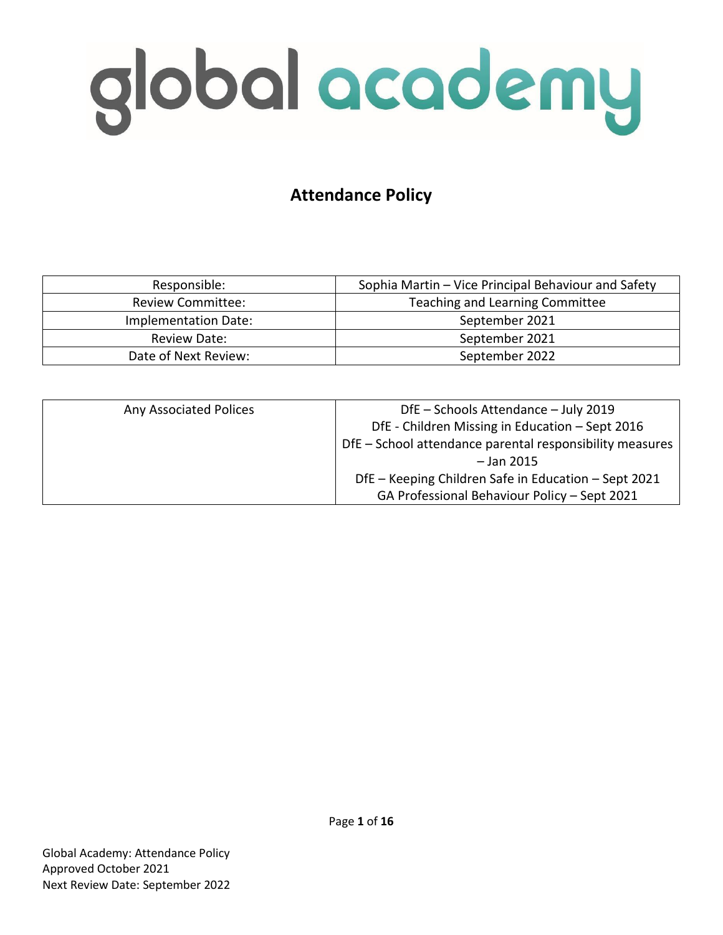

#### **Attendance Policy**

| Responsible:             | Sophia Martin – Vice Principal Behaviour and Safety |  |
|--------------------------|-----------------------------------------------------|--|
| <b>Review Committee:</b> | Teaching and Learning Committee                     |  |
| Implementation Date:     | September 2021                                      |  |
| Review Date:             | September 2021                                      |  |
| Date of Next Review:     | September 2022                                      |  |

| Any Associated Polices | DfE - Schools Attendance - July 2019                     |
|------------------------|----------------------------------------------------------|
|                        | DfE - Children Missing in Education - Sept 2016          |
|                        | DfE - School attendance parental responsibility measures |
|                        | $-$ Jan 2015                                             |
|                        | DfE - Keeping Children Safe in Education - Sept 2021     |
|                        | GA Professional Behaviour Policy - Sept 2021             |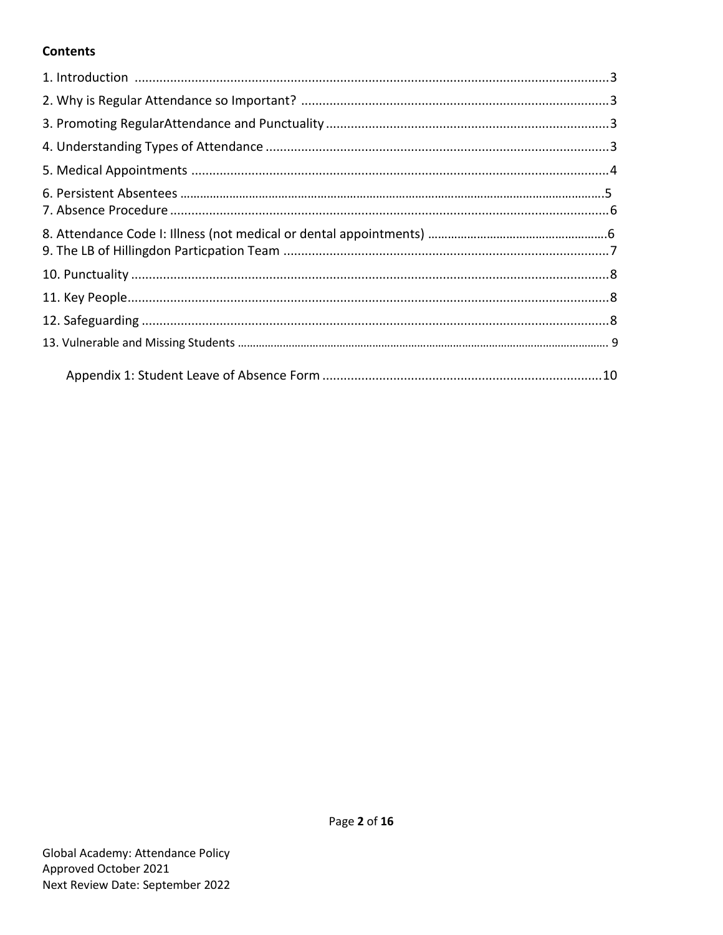#### **Contents**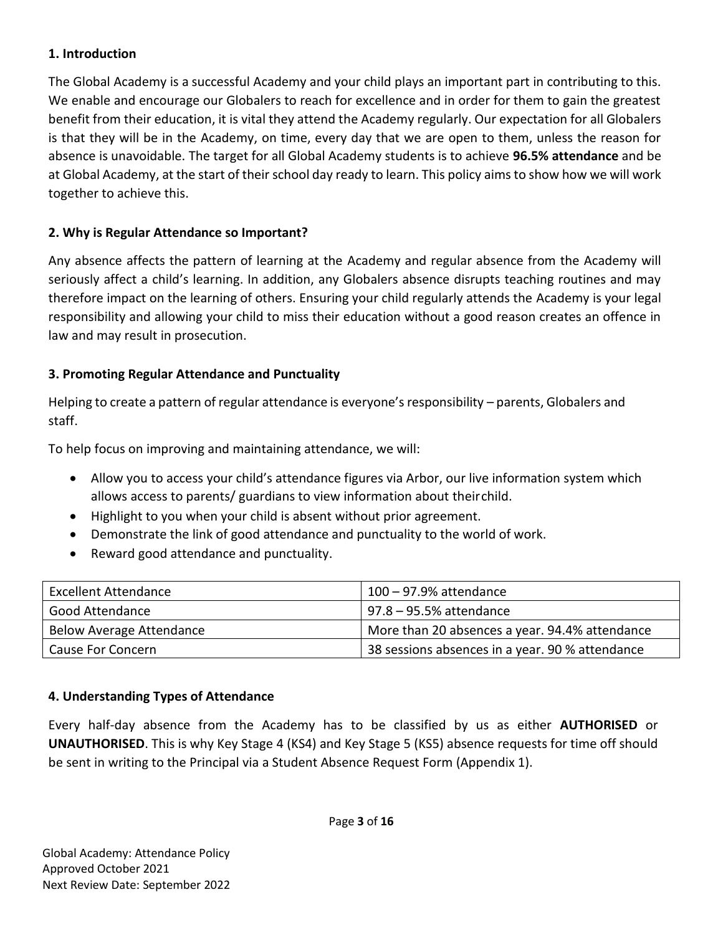#### **1. Introduction**

The Global Academy is a successful Academy and your child plays an important part in contributing to this. We enable and encourage our Globalers to reach for excellence and in order for them to gain the greatest benefit from their education, it is vital they attend the Academy regularly. Our expectation for all Globalers is that they will be in the Academy, on time, every day that we are open to them, unless the reason for absence is unavoidable. The target for all Global Academy students is to achieve **96.5% attendance** and be at Global Academy, at the start of their school day ready to learn. This policy aims to show how we will work together to achieve this.

#### **2. Why is Regular Attendance so Important?**

Any absence affects the pattern of learning at the Academy and regular absence from the Academy will seriously affect a child's learning. In addition, any Globalers absence disrupts teaching routines and may therefore impact on the learning of others. Ensuring your child regularly attends the Academy is your legal responsibility and allowing your child to miss their education without a good reason creates an offence in law and may result in prosecution.

#### **3. Promoting Regular Attendance and Punctuality**

Helping to create a pattern of regular attendance is everyone's responsibility – parents, Globalers and staff.

To help focus on improving and maintaining attendance, we will:

- Allow you to access your child's attendance figures via Arbor, our live information system which allows access to parents/ guardians to view information about theirchild.
- Highlight to you when your child is absent without prior agreement.
- Demonstrate the link of good attendance and punctuality to the world of work.
- Reward good attendance and punctuality.

| <b>Excellent Attendance</b> | ⊥ 100 – 97.9% attendance                        |  |
|-----------------------------|-------------------------------------------------|--|
| Good Attendance             | 97.8 – 95.5% attendance                         |  |
| Below Average Attendance    | More than 20 absences a year. 94.4% attendance  |  |
| Cause For Concern           | 38 sessions absences in a year. 90 % attendance |  |

#### **4. Understanding Types of Attendance**

Every half-day absence from the Academy has to be classified by us as either **AUTHORISED** or **UNAUTHORISED**. This is why Key Stage 4 (KS4) and Key Stage 5 (KS5) absence requests for time off should be sent in writing to the Principal via a Student Absence Request Form (Appendix 1).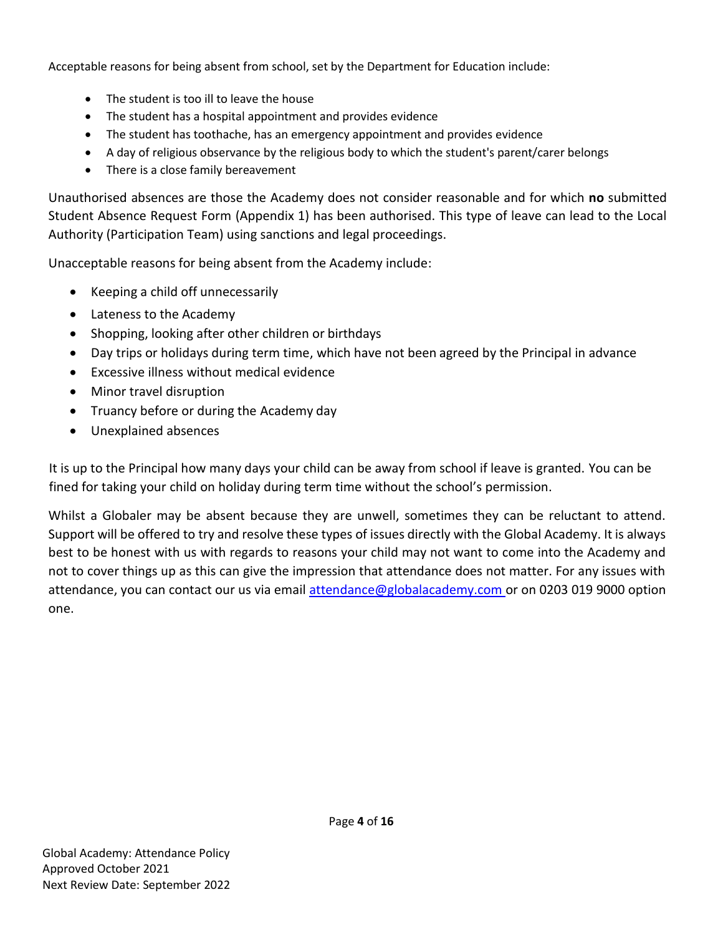Acceptable reasons for being absent from school, set by the Department for Education include:

- The student is too ill to leave the house
- The student has a hospital appointment and provides evidence
- The student has toothache, has an emergency appointment and provides evidence
- A day of religious observance by the religious body to which the student's parent/carer belongs
- There is a close family bereavement

Unauthorised absences are those the Academy does not consider reasonable and for which **no** submitted Student Absence Request Form (Appendix 1) has been authorised. This type of leave can lead to the Local Authority (Participation Team) using sanctions and legal proceedings.

Unacceptable reasons for being absent from the Academy include:

- Keeping a child off unnecessarily
- Lateness to the Academy
- Shopping, looking after other children or birthdays
- Day trips or holidays during term time, which have not been agreed by the Principal in advance
- Excessive illness without medical evidence
- Minor travel disruption
- Truancy before or during the Academy day
- Unexplained absences

 It is up to the Principal how many days your child can be away from school if leave is granted. You can be fined for taking your child on holiday during term time without the school's permission.

Whilst a Globaler may be absent because they are unwell, sometimes they can be reluctant to attend. Support will be offered to try and resolve these types of issues directly with the Global Academy. It is always best to be honest with us with regards to reasons your child may not want to come into the Academy and not to cover things up as this can give the impression that attendance does not matter. For any issues with attendance, you can contact our us via email [attendance@globalacademy.com o](mailto:attendance@globalacademy.com)r on 0203 019 9000 option one.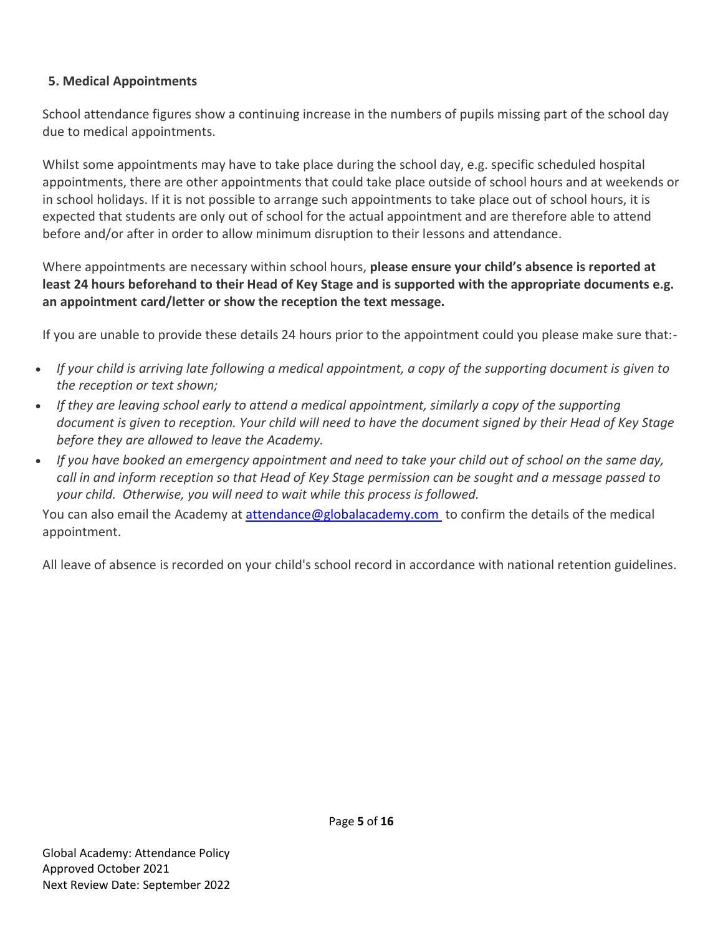#### **5. Medical Appointments**

School attendance figures show a continuing increase in the numbers of pupils missing part of the school day due to medical appointments.

Whilst some appointments may have to take place during the school day, e.g. specific scheduled hospital appointments, there are other appointments that could take place outside of school hours and at weekends or in school holidays. If it is not possible to arrange such appointments to take place out of school hours, it is expected that students are only out of school for the actual appointment and are therefore able to attend before and/or after in order to allow minimum disruption to their lessons and attendance.

Where appointments are necessary within school hours, **please ensure your child's absence is reported at least 24 hours beforehand to their Head of Key Stage and is supported with the appropriate documents e.g. an appointment card/letter or show the reception the text message.**

If you are unable to provide these details 24 hours prior to the appointment could you please make sure that:-

- *If your child is arriving late following a medical appointment, a copy of the supporting document is given to the reception or text shown;*
- *If they are leaving school early to attend a medical appointment, similarly a copy of the supporting document is given to reception. Your child will need to have the document signed by their Head of Key Stage before they are allowed to leave the Academy.*
- *If you have booked an emergency appointment and need to take your child out of school on the same day, call in and inform reception so that Head of Key Stage permission can be sought and a message passed to your child. Otherwise, you will need to wait while this process is followed.*

You can also email the Academy at [attendance@globalacademy.com](mailto:attendance@globalacademy.com) to confirm the details of the medical appointment.

All leave of absence is recorded on your child's school record in accordance with national retention guidelines.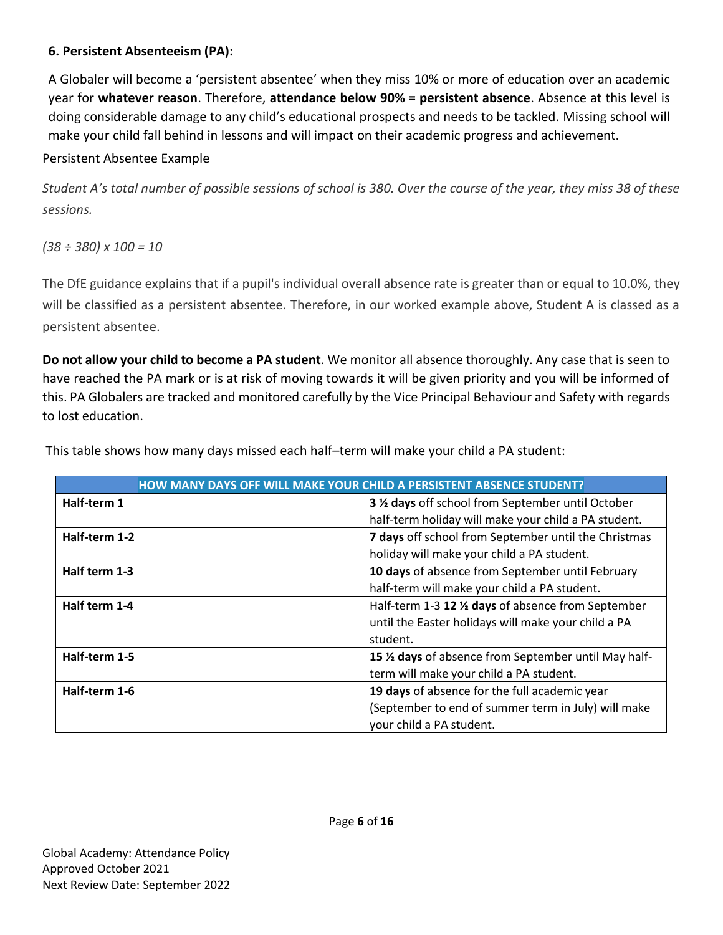#### **6. Persistent Absenteeism (PA):**

A Globaler will become a 'persistent absentee' when they miss 10% or more of education over an academic year for **whatever reason**. Therefore, **attendance below 90% = persistent absence**. Absence at this level is doing considerable damage to any child's educational prospects and needs to be tackled. Missing school will make your child fall behind in lessons and will impact on their academic progress and achievement.

#### Persistent Absentee Example

*Student A's total number of possible sessions of school is 380. Over the course of the year, they miss 38 of these sessions.*

*(38 ÷ 380) x 100 = 10*

The DfE guidance explains that if a pupil's individual overall absence rate is greater than or equal to 10.0%, they will be classified as a persistent absentee. Therefore, in our worked example above, Student A is classed as a persistent absentee.

**Do not allow your child to become a PA student**. We monitor all absence thoroughly. Any case that is seen to have reached the PA mark or is at risk of moving towards it will be given priority and you will be informed of this. PA Globalers are tracked and monitored carefully by the Vice Principal Behaviour and Safety with regards to lost education.

| <b>HOW MANY DAYS OFF WILL MAKE YOUR CHILD A PERSISTENT ABSENCE STUDENT?</b> |                                                      |  |
|-----------------------------------------------------------------------------|------------------------------------------------------|--|
| Half-term 1                                                                 | 3 % days off school from September until October     |  |
|                                                                             | half-term holiday will make your child a PA student. |  |
| Half-term 1-2                                                               | 7 days off school from September until the Christmas |  |
|                                                                             | holiday will make your child a PA student.           |  |
| Half term 1-3                                                               | 10 days of absence from September until February     |  |
|                                                                             | half-term will make your child a PA student.         |  |
| Half term 1-4                                                               | Half-term 1-3 12 % days of absence from September    |  |
|                                                                             | until the Easter holidays will make your child a PA  |  |
|                                                                             | student.                                             |  |
| Half-term 1-5                                                               | 15 % days of absence from September until May half-  |  |
|                                                                             | term will make your child a PA student.              |  |
| Half-term 1-6                                                               | 19 days of absence for the full academic year        |  |
|                                                                             | (September to end of summer term in July) will make  |  |
|                                                                             | your child a PA student.                             |  |

This table shows how many days missed each half–term will make your child a PA student: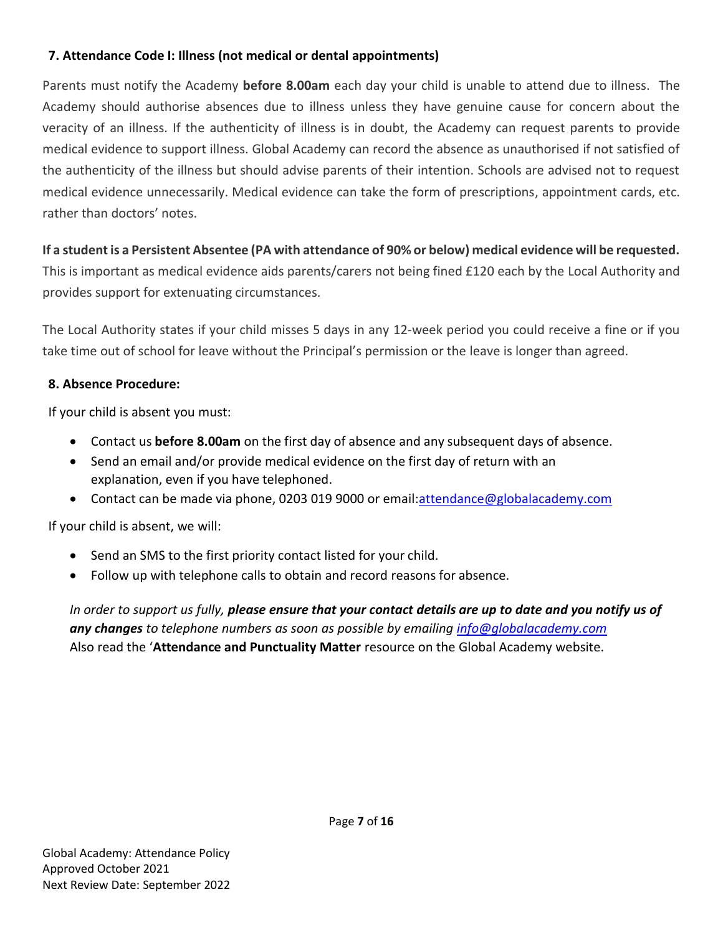#### **7. Attendance Code I: Illness (not medical or dental appointments)**

Parents must notify the Academy **before 8.00am** each day your child is unable to attend due to illness. The Academy should authorise absences due to illness unless they have genuine cause for concern about the veracity of an illness. If the authenticity of illness is in doubt, the Academy can request parents to provide medical evidence to support illness. Global Academy can record the absence as unauthorised if not satisfied of the authenticity of the illness but should advise parents of their intention. Schools are advised not to request medical evidence unnecessarily. Medical evidence can take the form of prescriptions, appointment cards, etc. rather than doctors' notes.

**If a student is a Persistent Absentee (PA with attendance of 90% or below) medical evidence will be requested.** This is important as medical evidence aids parents/carers not being fined £120 each by the Local Authority and provides support for extenuating circumstances.

The Local Authority states if your child misses 5 days in any 12-week period you could receive a fine or if you take time out of school for leave without the Principal's permission or the leave is longer than agreed.

#### **8. Absence Procedure:**

If your child is absent you must:

- Contact us **before 8.00am** on the first day of absence and any subsequent days of absence.
- Send an email and/or provide medical evidence on the first day of return with an explanation, even if you have telephoned.
- Contact can be made via phone, 0203 019 9000 or email[:attendance@globalacademy.com](mailto:attendance@globalacademy.com)

If your child is absent, we will:

- Send an SMS to the first priority contact listed for your child.
- Follow up with telephone calls to obtain and record reasons for absence.

*In order to support us fully, please ensure that your contact details are up to date and you notify us of any changes to telephone numbers as soon as possible by emailing [info@globalacademy.com](mailto:info@globalacademy.com)* Also read the '**Attendance and Punctuality Matter** resource on the Global Academy website.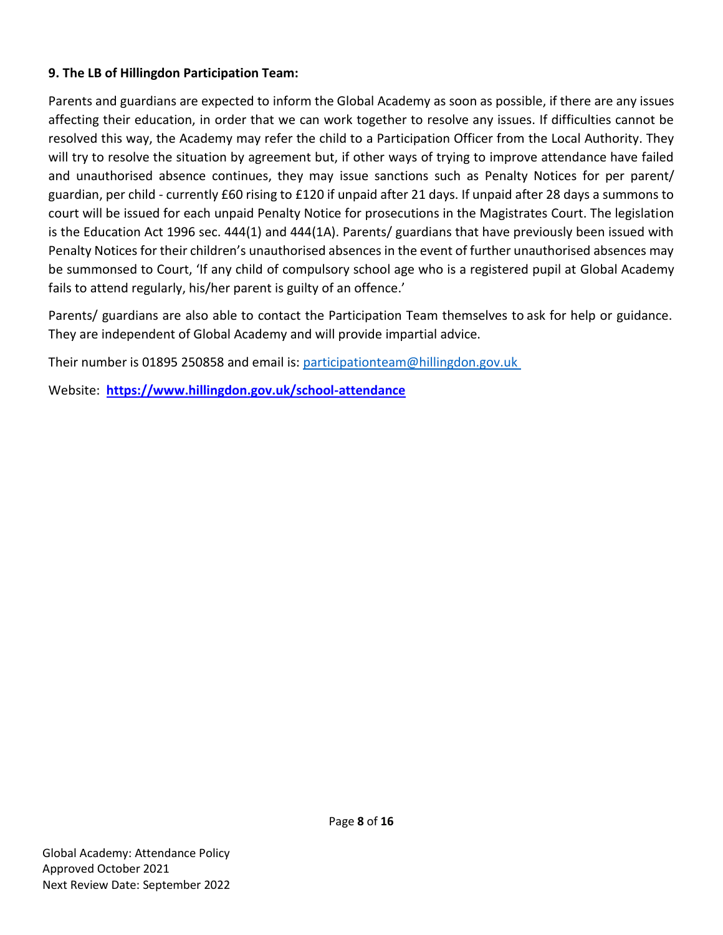#### **9. The LB of Hillingdon Participation Team:**

Parents and guardians are expected to inform the Global Academy as soon as possible, if there are any issues affecting their education, in order that we can work together to resolve any issues. If difficulties cannot be resolved this way, the Academy may refer the child to a Participation Officer from the Local Authority. They will try to resolve the situation by agreement but, if other ways of trying to improve attendance have failed and unauthorised absence continues, they may issue sanctions such as Penalty Notices for per parent/ guardian, per child - currently £60 rising to £120 if unpaid after 21 days. If unpaid after 28 days a summons to court will be issued for each unpaid Penalty Notice for prosecutions in the Magistrates Court. The legislation is the Education Act 1996 sec. 444(1) and 444(1A). Parents/ guardians that have previously been issued with Penalty Notices for their children's unauthorised absences in the event of further unauthorised absences may be summonsed to Court, 'If any child of compulsory school age who is a registered pupil at Global Academy fails to attend regularly, his/her parent is guilty of an offence.'

Parents/ guardians are also able to contact the Participation Team themselves to ask for help or guidance. They are independent of Global Academy and will provide impartial advice.

Their number is 01895 250858 and email is: [participationteam@hillingdon.gov.uk](mailto:participationteam@hillingdon.gov.uk)

Website: **<https://www.hillingdon.gov.uk/school-attendance>**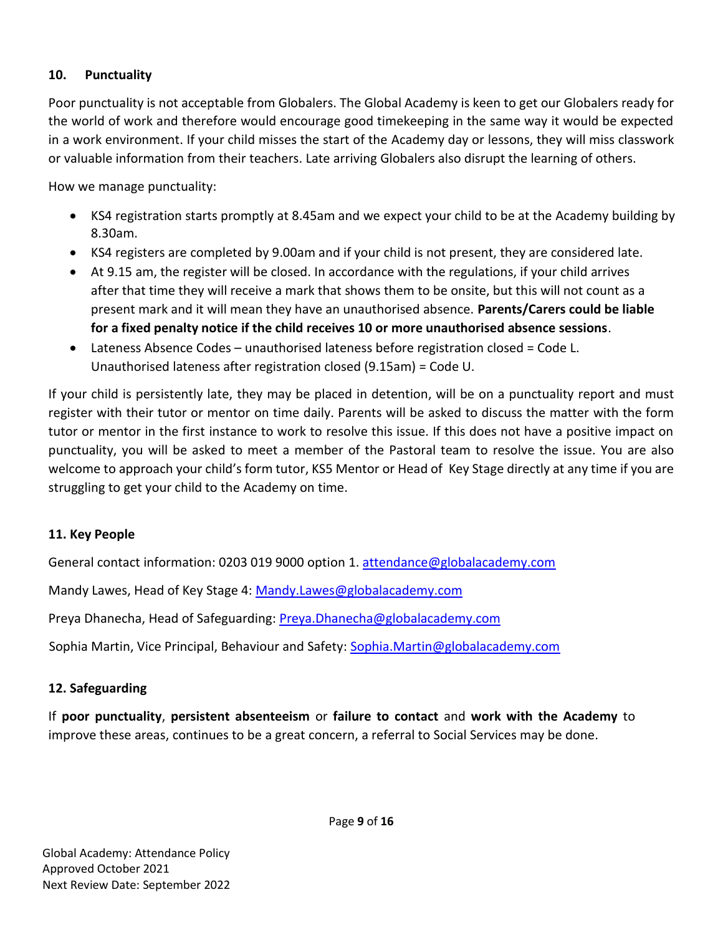#### **10. Punctuality**

Poor punctuality is not acceptable from Globalers. The Global Academy is keen to get our Globalers ready for the world of work and therefore would encourage good timekeeping in the same way it would be expected in a work environment. If your child misses the start of the Academy day or lessons, they will miss classwork or valuable information from their teachers. Late arriving Globalers also disrupt the learning of others.

How we manage punctuality:

- KS4 registration starts promptly at 8.45am and we expect your child to be at the Academy building by 8.30am.
- KS4 registers are completed by 9.00am and if your child is not present, they are considered late.
- At 9.15 am, the register will be closed. In accordance with the regulations, if your child arrives after that time they will receive a mark that shows them to be onsite, but this will not count as a present mark and it will mean they have an unauthorised absence. **Parents/Carers could be liable for a fixed penalty notice if the child receives 10 or more unauthorised absence sessions**.
- Lateness Absence Codes unauthorised lateness before registration closed = Code L. Unauthorised lateness after registration closed (9.15am) = Code U.

If your child is persistently late, they may be placed in detention, will be on a punctuality report and must register with their tutor or mentor on time daily. Parents will be asked to discuss the matter with the form tutor or mentor in the first instance to work to resolve this issue. If this does not have a positive impact on punctuality, you will be asked to meet a member of the Pastoral team to resolve the issue. You are also welcome to approach your child's form tutor, KS5 Mentor or Head of Key Stage directly at any time if you are struggling to get your child to the Academy on time.

#### **11. Key People**

General contact information: 0203 019 9000 option 1. [attendance@globalacademy.com](mailto:attendance@globalacademy.com)

Mandy Lawes, Head of Key Stage 4: [Mandy.Lawes@globalacademy.com](mailto:Mandy.Lawes@globalacademy.com)

Preya Dhanecha, Head of Safeguarding: [Preya.Dhanecha@globalacademy.com](mailto:Preya.Dhanecha@globalacademy.com)

Sophia Martin, Vice Principal, Behaviour and Safety: [Sophia.Martin@globalacademy.com](mailto:Sophia.Martin@globalacademy.com)

#### **12. Safeguarding**

If **poor punctuality**, **persistent absenteeism** or **failure to contact** and **work with the Academy** to improve these areas, continues to be a great concern, a referral to Social Services may be done.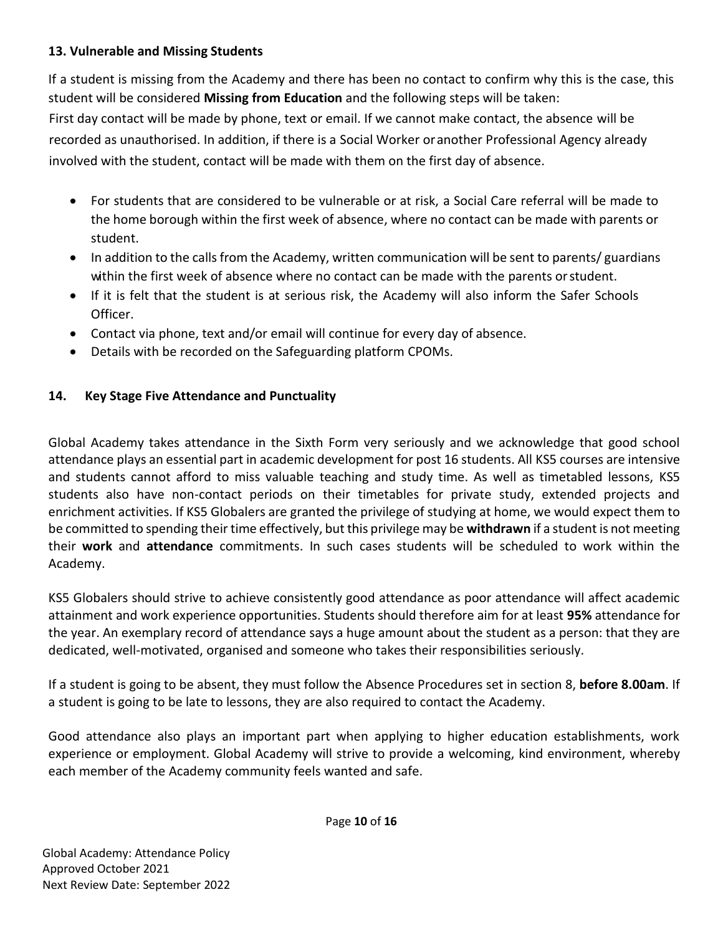#### **13. Vulnerable and Missing Students**

If a student is missing from the Academy and there has been no contact to confirm why this is the case, this student will be considered **Missing from Education** and the following steps will be taken: First day contact will be made by phone, text or email. If we cannot make contact, the absence will be recorded as unauthorised. In addition, if there is a Social Worker oranother Professional Agency already involved with the student, contact will be made with them on the first day of absence.

- For students that are considered to be vulnerable or at risk, a Social Care referral will be made to the home borough within the first week of absence, where no contact can be made with parents or student.
- In addition to the calls from the Academy, written communication will be sent to parents/ guardians within the first week of absence where no contact can be made with the parents orstudent.
- If it is felt that the student is at serious risk, the Academy will also inform the Safer Schools Officer.
- Contact via phone, text and/or email will continue for every day of absence.
- Details with be recorded on the Safeguarding platform CPOMs.

#### **14. Key Stage Five Attendance and Punctuality**

Global Academy takes attendance in the Sixth Form very seriously and we acknowledge that good school attendance plays an essential part in academic development for post 16 students. All KS5 courses are intensive and students cannot afford to miss valuable teaching and study time. As well as timetabled lessons, KS5 students also have non-contact periods on their timetables for private study, extended projects and enrichment activities. If KS5 Globalers are granted the privilege of studying at home, we would expect them to be committed to spending their time effectively, but this privilege may be **withdrawn** if a student is not meeting their **work** and **attendance** commitments. In such cases students will be scheduled to work within the Academy.

KS5 Globalers should strive to achieve consistently good attendance as poor attendance will affect academic attainment and work experience opportunities. Students should therefore aim for at least **95%** attendance for the year. An exemplary record of attendance says a huge amount about the student as a person: that they are dedicated, well-motivated, organised and someone who takes their responsibilities seriously.

If a student is going to be absent, they must follow the Absence Procedures set in section 8, **before 8.00am**. If a student is going to be late to lessons, they are also required to contact the Academy.

Good attendance also plays an important part when applying to higher education establishments, work experience or employment. Global Academy will strive to provide a welcoming, kind environment, whereby each member of the Academy community feels wanted and safe.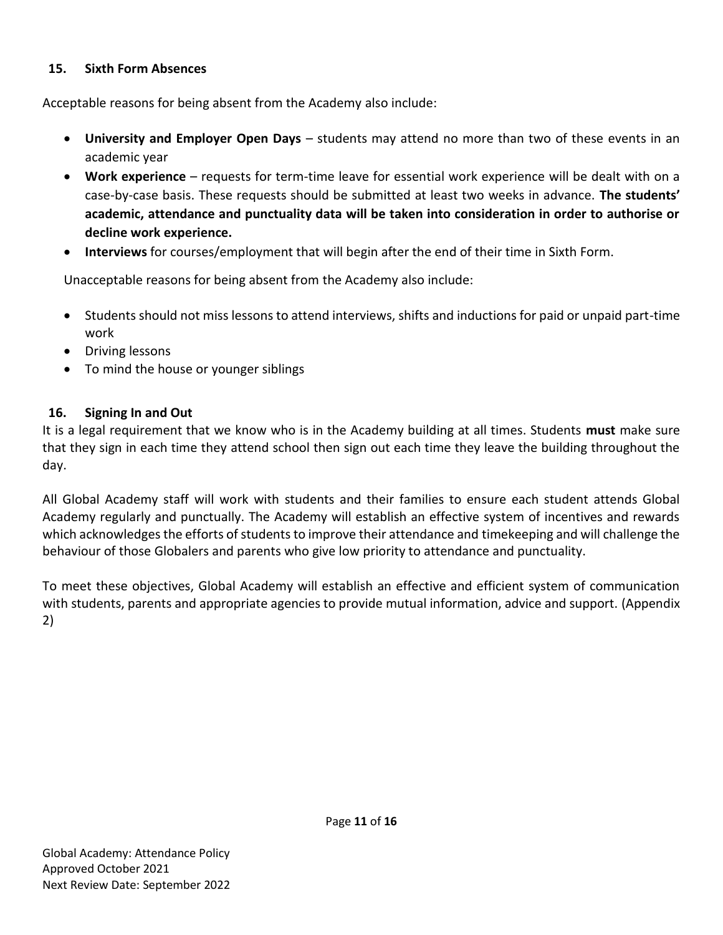#### **15. Sixth Form Absences**

Acceptable reasons for being absent from the Academy also include:

- **University and Employer Open Days** students may attend no more than two of these events in an academic year
- **Work experience** requests for term-time leave for essential work experience will be dealt with on a case-by-case basis. These requests should be submitted at least two weeks in advance. **The students' academic, attendance and punctuality data will be taken into consideration in order to authorise or decline work experience.**
- **Interviews** for courses/employment that will begin after the end of their time in Sixth Form.

Unacceptable reasons for being absent from the Academy also include:

- Students should not miss lessons to attend interviews, shifts and inductions for paid or unpaid part-time work
- Driving lessons
- To mind the house or younger siblings

#### **16. Signing In and Out**

It is a legal requirement that we know who is in the Academy building at all times. Students **must** make sure that they sign in each time they attend school then sign out each time they leave the building throughout the day.

All Global Academy staff will work with students and their families to ensure each student attends Global Academy regularly and punctually. The Academy will establish an effective system of incentives and rewards which acknowledges the efforts of students to improve their attendance and timekeeping and will challenge the behaviour of those Globalers and parents who give low priority to attendance and punctuality.

To meet these objectives, Global Academy will establish an effective and efficient system of communication with students, parents and appropriate agencies to provide mutual information, advice and support. (Appendix 2)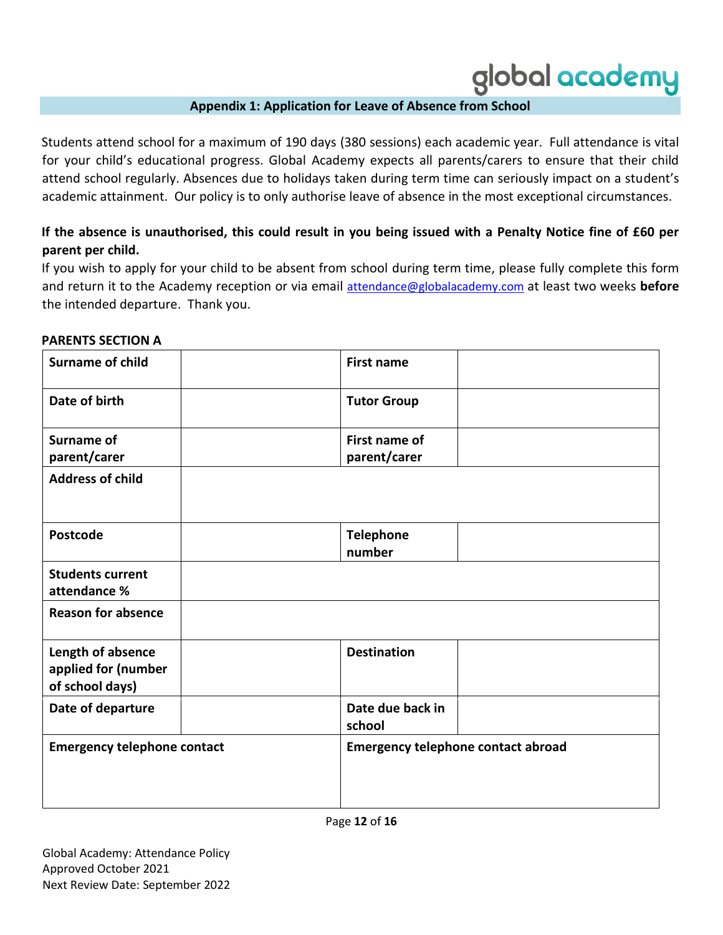### global academy

#### **Appendix 1: Application for Leave of Absence from School**

Students attend school for a maximum of 190 days (380 sessions) each academic year. Full attendance is vital for your child's educational progress. Global Academy expects all parents/carers to ensure that their child attend school regularly. Absences due to holidays taken during term time can seriously impact on a student's academic attainment. Our policy is to only authorise leave of absence in the most exceptional circumstances.

#### **If the absence is unauthorised, this could result in you being issued with a Penalty Notice fine of £60 per parent per child.**

If you wish to apply for your child to be absent from school during term time, please fully complete this form and return it to the Academy reception or via email [attendance@globalacademy.com](mailto:attendance@globalacademy.com) at least two weeks **before** the intended departure. Thank you.

| <b>Surname of child</b>                                     | <b>First name</b>                         |  |
|-------------------------------------------------------------|-------------------------------------------|--|
| Date of birth                                               | <b>Tutor Group</b>                        |  |
| Surname of<br>parent/carer                                  | First name of<br>parent/carer             |  |
| <b>Address of child</b>                                     |                                           |  |
| <b>Postcode</b>                                             | <b>Telephone</b><br>number                |  |
| <b>Students current</b><br>attendance %                     |                                           |  |
| <b>Reason for absence</b>                                   |                                           |  |
| Length of absence<br>applied for (number<br>of school days) | <b>Destination</b>                        |  |
| Date of departure                                           | Date due back in<br>school                |  |
| <b>Emergency telephone contact</b>                          | <b>Emergency telephone contact abroad</b> |  |

#### **PARENTS SECTION A**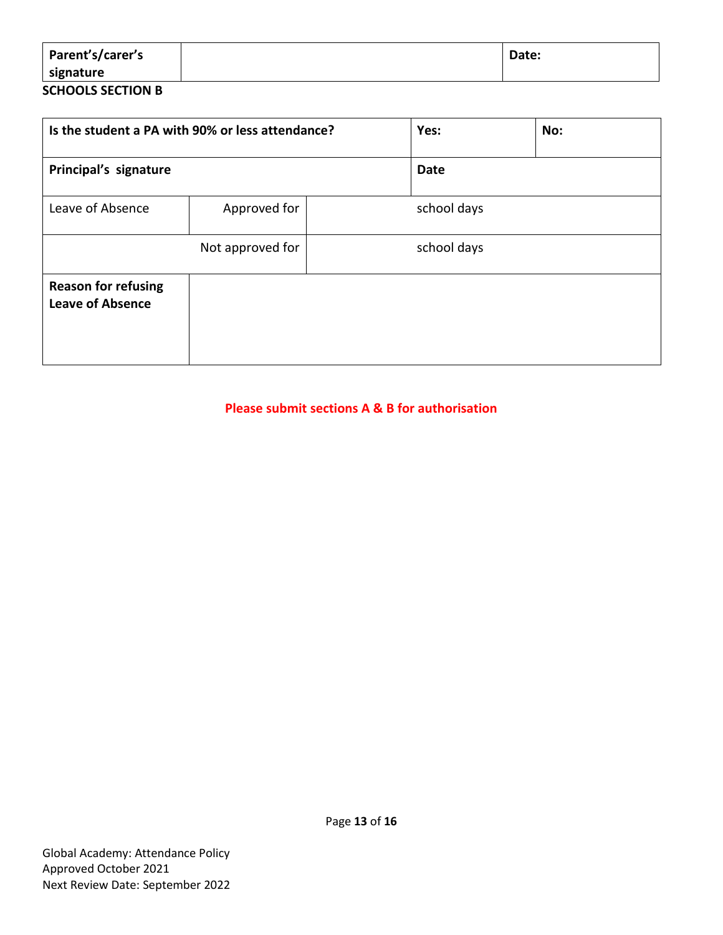| Parent's/carer's<br>signature | Date: |
|-------------------------------|-------|
| <b>SCHOOLS SECTION B</b>      |       |

## Is the student a PA with 90% or less attendance? <br>
No: **Principal's signature Date Date Date** Leave of Absence  $\begin{vmatrix} \frac{1}{2} & \frac{1}{2} \\ \frac{1}{2} & \frac{1}{2} \end{vmatrix}$  Approved for  $\begin{vmatrix} \frac{1}{2} & \frac{1}{2} \\ \frac{1}{2} & \frac{1}{2} \end{vmatrix}$  school days Not approved for  $\vert$  school days **Reason for refusing Leave of Absence**

#### **Please submit sections A & B for authorisation**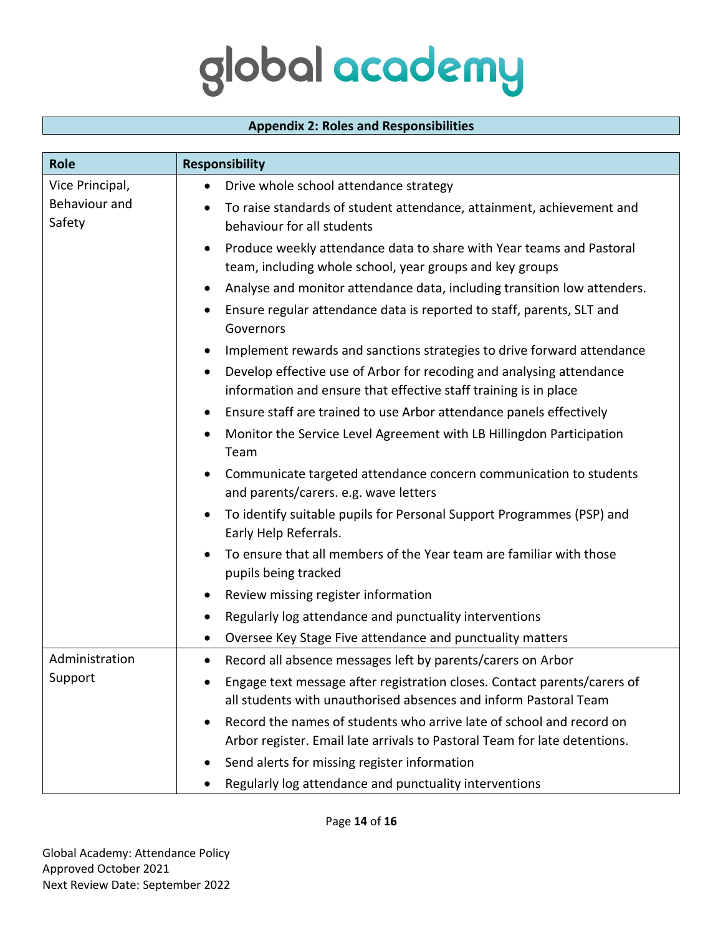# global academy

#### **Appendix 2: Roles and Responsibilities**

| <b>Role</b>             | <b>Responsibility</b>                                                                                                                                          |  |  |
|-------------------------|----------------------------------------------------------------------------------------------------------------------------------------------------------------|--|--|
| Vice Principal,         | Drive whole school attendance strategy<br>$\bullet$                                                                                                            |  |  |
| Behaviour and<br>Safety | To raise standards of student attendance, attainment, achievement and<br>behaviour for all students                                                            |  |  |
|                         | Produce weekly attendance data to share with Year teams and Pastoral<br>team, including whole school, year groups and key groups                               |  |  |
|                         | Analyse and monitor attendance data, including transition low attenders.<br>$\bullet$                                                                          |  |  |
|                         | Ensure regular attendance data is reported to staff, parents, SLT and<br>$\bullet$<br>Governors                                                                |  |  |
|                         | Implement rewards and sanctions strategies to drive forward attendance<br>٠                                                                                    |  |  |
|                         | Develop effective use of Arbor for recoding and analysing attendance<br>$\bullet$<br>information and ensure that effective staff training is in place          |  |  |
|                         | Ensure staff are trained to use Arbor attendance panels effectively<br>$\bullet$                                                                               |  |  |
|                         | Monitor the Service Level Agreement with LB Hillingdon Participation<br>٠<br>Team                                                                              |  |  |
|                         | Communicate targeted attendance concern communication to students<br>$\bullet$<br>and parents/carers. e.g. wave letters                                        |  |  |
|                         | To identify suitable pupils for Personal Support Programmes (PSP) and<br>$\bullet$<br>Early Help Referrals.                                                    |  |  |
|                         | To ensure that all members of the Year team are familiar with those<br>pupils being tracked                                                                    |  |  |
|                         | Review missing register information<br>$\bullet$                                                                                                               |  |  |
|                         | Regularly log attendance and punctuality interventions<br>٠                                                                                                    |  |  |
|                         | Oversee Key Stage Five attendance and punctuality matters<br>٠                                                                                                 |  |  |
| Administration          | Record all absence messages left by parents/carers on Arbor                                                                                                    |  |  |
| Support                 | Engage text message after registration closes. Contact parents/carers of<br>all students with unauthorised absences and inform Pastoral Team                   |  |  |
|                         | Record the names of students who arrive late of school and record on<br>$\bullet$<br>Arbor register. Email late arrivals to Pastoral Team for late detentions. |  |  |
|                         | Send alerts for missing register information                                                                                                                   |  |  |
|                         | Regularly log attendance and punctuality interventions<br>٠                                                                                                    |  |  |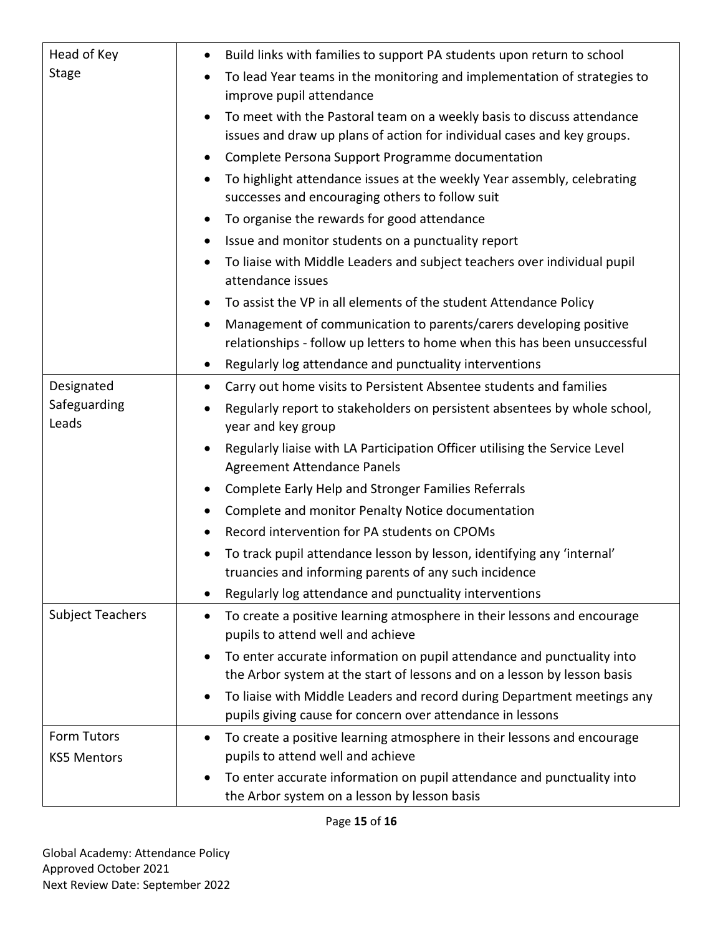| Head of Key             | Build links with families to support PA students upon return to school<br>$\bullet$                                                                             |  |  |
|-------------------------|-----------------------------------------------------------------------------------------------------------------------------------------------------------------|--|--|
| <b>Stage</b>            | To lead Year teams in the monitoring and implementation of strategies to<br>improve pupil attendance                                                            |  |  |
|                         | To meet with the Pastoral team on a weekly basis to discuss attendance<br>$\bullet$<br>issues and draw up plans of action for individual cases and key groups.  |  |  |
|                         | Complete Persona Support Programme documentation<br>٠                                                                                                           |  |  |
|                         | To highlight attendance issues at the weekly Year assembly, celebrating<br>successes and encouraging others to follow suit                                      |  |  |
|                         | To organise the rewards for good attendance<br>$\bullet$                                                                                                        |  |  |
|                         | Issue and monitor students on a punctuality report                                                                                                              |  |  |
|                         | To liaise with Middle Leaders and subject teachers over individual pupil<br>attendance issues                                                                   |  |  |
|                         | To assist the VP in all elements of the student Attendance Policy<br>$\bullet$                                                                                  |  |  |
|                         | Management of communication to parents/carers developing positive<br>$\bullet$<br>relationships - follow up letters to home when this has been unsuccessful     |  |  |
|                         | Regularly log attendance and punctuality interventions<br>$\bullet$                                                                                             |  |  |
| Designated              | Carry out home visits to Persistent Absentee students and families<br>$\bullet$                                                                                 |  |  |
| Safeguarding            | Regularly report to stakeholders on persistent absentees by whole school,<br>$\bullet$                                                                          |  |  |
| Leads                   | year and key group                                                                                                                                              |  |  |
|                         | Regularly liaise with LA Participation Officer utilising the Service Level<br><b>Agreement Attendance Panels</b>                                                |  |  |
|                         | Complete Early Help and Stronger Families Referrals<br>٠                                                                                                        |  |  |
|                         | Complete and monitor Penalty Notice documentation                                                                                                               |  |  |
|                         | Record intervention for PA students on CPOMs                                                                                                                    |  |  |
|                         | To track pupil attendance lesson by lesson, identifying any 'internal'<br>truancies and informing parents of any such incidence                                 |  |  |
|                         | Regularly log attendance and punctuality interventions                                                                                                          |  |  |
| <b>Subject Teachers</b> | To create a positive learning atmosphere in their lessons and encourage<br>٠<br>pupils to attend well and achieve                                               |  |  |
|                         | To enter accurate information on pupil attendance and punctuality into<br>$\bullet$<br>the Arbor system at the start of lessons and on a lesson by lesson basis |  |  |
|                         | To liaise with Middle Leaders and record during Department meetings any<br>pupils giving cause for concern over attendance in lessons                           |  |  |
| <b>Form Tutors</b>      | To create a positive learning atmosphere in their lessons and encourage<br>٠                                                                                    |  |  |
| <b>KS5 Mentors</b>      | pupils to attend well and achieve                                                                                                                               |  |  |
|                         | To enter accurate information on pupil attendance and punctuality into<br>the Arbor system on a lesson by lesson basis                                          |  |  |